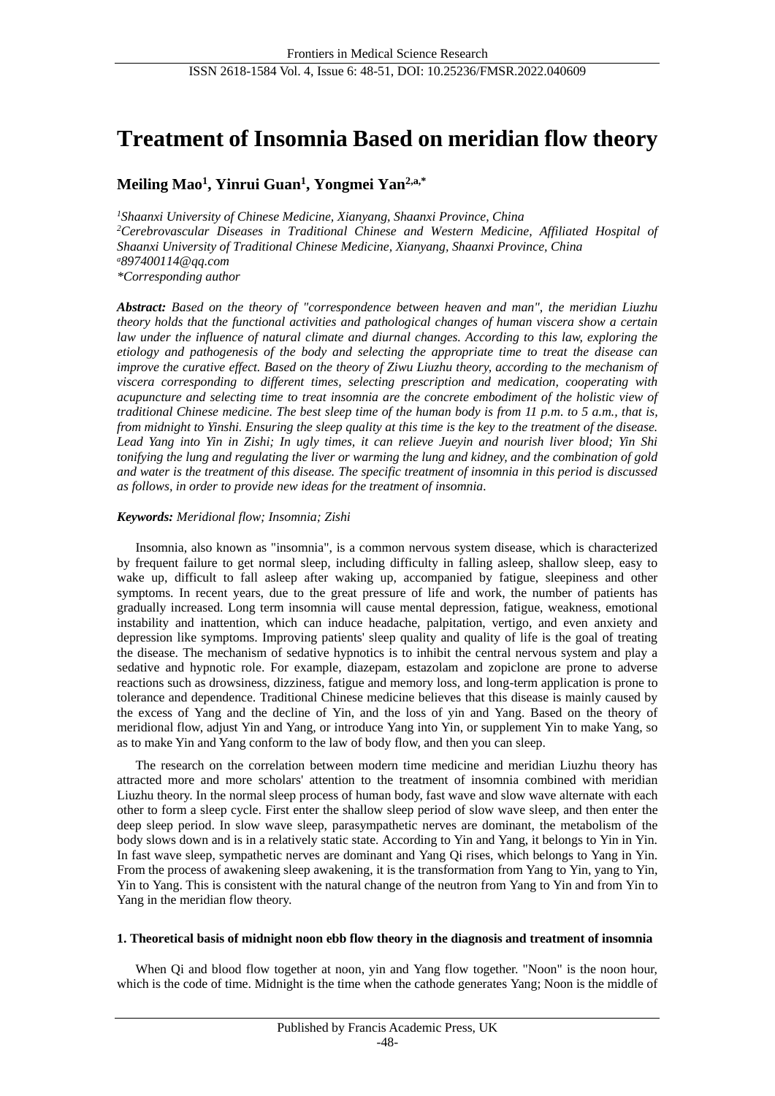# **Treatment of Insomnia Based on meridian flow theory**

# **Meiling Mao<sup>1</sup> , Yinrui Guan<sup>1</sup> , Yongmei Yan2,a,\***

*<sup>1</sup>Shaanxi University of Chinese Medicine, Xianyang, Shaanxi Province, China <sup>2</sup>Cerebrovascular Diseases in Traditional Chinese and Western Medicine, Affiliated Hospital of Shaanxi University of Traditional Chinese Medicine, Xianyang, Shaanxi Province, China <sup>a</sup>[8](mailto:a)97400114@qq.com \*Corresponding author*

*Abstract: Based on the theory of "correspondence between heaven and man", the meridian Liuzhu theory holds that the functional activities and pathological changes of human viscera show a certain law under the influence of natural climate and diurnal changes. According to this law, exploring the etiology and pathogenesis of the body and selecting the appropriate time to treat the disease can improve the curative effect. Based on the theory of Ziwu Liuzhu theory, according to the mechanism of viscera corresponding to different times, selecting prescription and medication, cooperating with acupuncture and selecting time to treat insomnia are the concrete embodiment of the holistic view of traditional Chinese medicine. The best sleep time of the human body is from 11 p.m. to 5 a.m., that is, from midnight to Yinshi. Ensuring the sleep quality at this time is the key to the treatment of the disease. Lead Yang into Yin in Zishi; In ugly times, it can relieve Jueyin and nourish liver blood; Yin Shi tonifying the lung and regulating the liver or warming the lung and kidney, and the combination of gold and water is the treatment of this disease. The specific treatment of insomnia in this period is discussed as follows, in order to provide new ideas for the treatment of insomnia.*

# *Keywords: Meridional flow; Insomnia; Zishi*

Insomnia, also known as "insomnia", is a common nervous system disease, which is characterized by frequent failure to get normal sleep, including difficulty in falling asleep, shallow sleep, easy to wake up, difficult to fall asleep after waking up, accompanied by fatigue, sleepiness and other symptoms. In recent years, due to the great pressure of life and work, the number of patients has gradually increased. Long term insomnia will cause mental depression, fatigue, weakness, emotional instability and inattention, which can induce headache, palpitation, vertigo, and even anxiety and depression like symptoms. Improving patients' sleep quality and quality of life is the goal of treating the disease. The mechanism of sedative hypnotics is to inhibit the central nervous system and play a sedative and hypnotic role. For example, diazepam, estazolam and zopiclone are prone to adverse reactions such as drowsiness, dizziness, fatigue and memory loss, and long-term application is prone to tolerance and dependence. Traditional Chinese medicine believes that this disease is mainly caused by the excess of Yang and the decline of Yin, and the loss of yin and Yang. Based on the theory of meridional flow, adjust Yin and Yang, or introduce Yang into Yin, or supplement Yin to make Yang, so as to make Yin and Yang conform to the law of body flow, and then you can sleep.

The research on the correlation between modern time medicine and meridian Liuzhu theory has attracted more and more scholars' attention to the treatment of insomnia combined with meridian Liuzhu theory. In the normal sleep process of human body, fast wave and slow wave alternate with each other to form a sleep cycle. First enter the shallow sleep period of slow wave sleep, and then enter the deep sleep period. In slow wave sleep, parasympathetic nerves are dominant, the metabolism of the body slows down and is in a relatively static state. According to Yin and Yang, it belongs to Yin in Yin. In fast wave sleep, sympathetic nerves are dominant and Yang Qi rises, which belongs to Yang in Yin. From the process of awakening sleep awakening, it is the transformation from Yang to Yin, yang to Yin, Yin to Yang. This is consistent with the natural change of the neutron from Yang to Yin and from Yin to Yang in the meridian flow theory.

## **1. Theoretical basis of midnight noon ebb flow theory in the diagnosis and treatment of insomnia**

When Qi and blood flow together at noon, yin and Yang flow together. "Noon" is the noon hour, which is the code of time. Midnight is the time when the cathode generates Yang; Noon is the middle of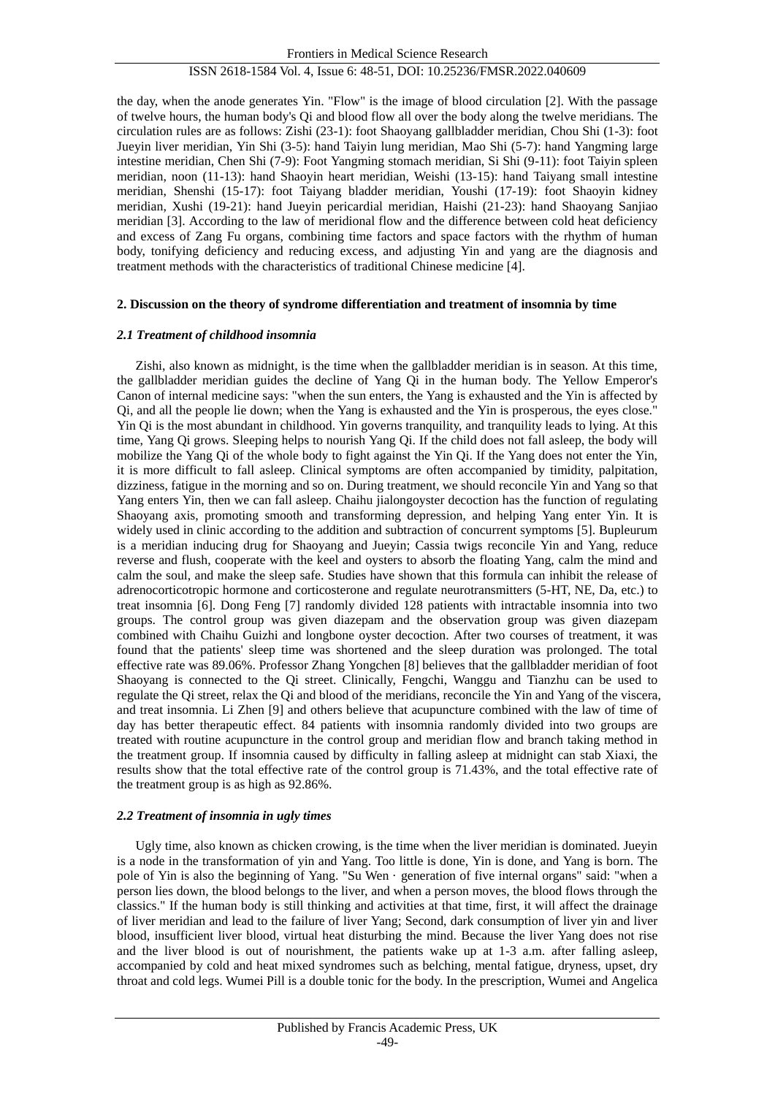## ISSN 2618-1584 Vol. 4, Issue 6: 48-51, DOI: 10.25236/FMSR.2022.040609

the day, when the anode generates Yin. "Flow" is the image of blood circulation [2]. With the passage of twelve hours, the human body's Qi and blood flow all over the body along the twelve meridians. The circulation rules are as follows: Zishi (23-1): foot Shaoyang gallbladder meridian, Chou Shi (1-3): foot Jueyin liver meridian, Yin Shi (3-5): hand Taiyin lung meridian, Mao Shi (5-7): hand Yangming large intestine meridian, Chen Shi (7-9): Foot Yangming stomach meridian, Si Shi (9-11): foot Taiyin spleen meridian, noon (11-13): hand Shaoyin heart meridian, Weishi (13-15): hand Taiyang small intestine meridian, Shenshi (15-17): foot Taiyang bladder meridian, Youshi (17-19): foot Shaoyin kidney meridian, Xushi (19-21): hand Jueyin pericardial meridian, Haishi (21-23): hand Shaoyang Sanjiao meridian [3]. According to the law of meridional flow and the difference between cold heat deficiency and excess of Zang Fu organs, combining time factors and space factors with the rhythm of human body, tonifying deficiency and reducing excess, and adjusting Yin and yang are the diagnosis and treatment methods with the characteristics of traditional Chinese medicine [4].

#### **2. Discussion on the theory of syndrome differentiation and treatment of insomnia by time**

#### *2.1 Treatment of childhood insomnia*

Zishi, also known as midnight, is the time when the gallbladder meridian is in season. At this time, the gallbladder meridian guides the decline of Yang Qi in the human body. The Yellow Emperor's Canon of internal medicine says: "when the sun enters, the Yang is exhausted and the Yin is affected by Qi, and all the people lie down; when the Yang is exhausted and the Yin is prosperous, the eyes close." Yin Qi is the most abundant in childhood. Yin governs tranquility, and tranquility leads to lying. At this time, Yang Qi grows. Sleeping helps to nourish Yang Qi. If the child does not fall asleep, the body will mobilize the Yang Qi of the whole body to fight against the Yin Qi. If the Yang does not enter the Yin, it is more difficult to fall asleep. Clinical symptoms are often accompanied by timidity, palpitation, dizziness, fatigue in the morning and so on. During treatment, we should reconcile Yin and Yang so that Yang enters Yin, then we can fall asleep. Chaihu jialongoyster decoction has the function of regulating Shaoyang axis, promoting smooth and transforming depression, and helping Yang enter Yin. It is widely used in clinic according to the addition and subtraction of concurrent symptoms [5]. Bupleurum is a meridian inducing drug for Shaoyang and Jueyin; Cassia twigs reconcile Yin and Yang, reduce reverse and flush, cooperate with the keel and oysters to absorb the floating Yang, calm the mind and calm the soul, and make the sleep safe. Studies have shown that this formula can inhibit the release of adrenocorticotropic hormone and corticosterone and regulate neurotransmitters (5-HT, NE, Da, etc.) to treat insomnia [6]. Dong Feng [7] randomly divided 128 patients with intractable insomnia into two groups. The control group was given diazepam and the observation group was given diazepam combined with Chaihu Guizhi and longbone oyster decoction. After two courses of treatment, it was found that the patients' sleep time was shortened and the sleep duration was prolonged. The total effective rate was 89.06%. Professor Zhang Yongchen [8] believes that the gallbladder meridian of foot Shaoyang is connected to the Qi street. Clinically, Fengchi, Wanggu and Tianzhu can be used to regulate the Qi street, relax the Qi and blood of the meridians, reconcile the Yin and Yang of the viscera, and treat insomnia. Li Zhen [9] and others believe that acupuncture combined with the law of time of day has better therapeutic effect. 84 patients with insomnia randomly divided into two groups are treated with routine acupuncture in the control group and meridian flow and branch taking method in the treatment group. If insomnia caused by difficulty in falling asleep at midnight can stab Xiaxi, the results show that the total effective rate of the control group is 71.43%, and the total effective rate of the treatment group is as high as 92.86%.

#### *2.2 Treatment of insomnia in ugly times*

Ugly time, also known as chicken crowing, is the time when the liver meridian is dominated. Jueyin is a node in the transformation of yin and Yang. Too little is done, Yin is done, and Yang is born. The pole of Yin is also the beginning of Yang. "Su Wen · generation of five internal organs" said: "when a person lies down, the blood belongs to the liver, and when a person moves, the blood flows through the classics." If the human body is still thinking and activities at that time, first, it will affect the drainage of liver meridian and lead to the failure of liver Yang; Second, dark consumption of liver yin and liver blood, insufficient liver blood, virtual heat disturbing the mind. Because the liver Yang does not rise and the liver blood is out of nourishment, the patients wake up at 1-3 a.m. after falling asleep, accompanied by cold and heat mixed syndromes such as belching, mental fatigue, dryness, upset, dry throat and cold legs. Wumei Pill is a double tonic for the body. In the prescription, Wumei and Angelica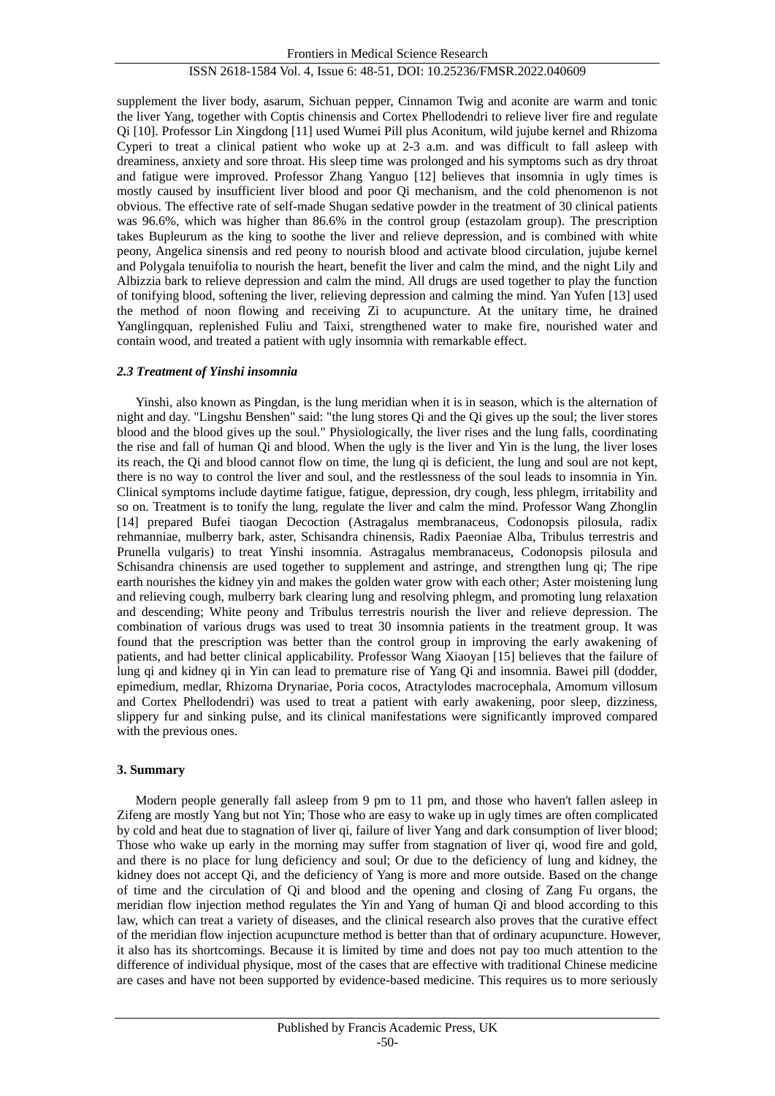# ISSN 2618-1584 Vol. 4, Issue 6: 48-51, DOI: 10.25236/FMSR.2022.040609

supplement the liver body, asarum, Sichuan pepper, Cinnamon Twig and aconite are warm and tonic the liver Yang, together with Coptis chinensis and Cortex Phellodendri to relieve liver fire and regulate Qi [10]. Professor Lin Xingdong [11] used Wumei Pill plus Aconitum, wild jujube kernel and Rhizoma Cyperi to treat a clinical patient who woke up at 2-3 a.m. and was difficult to fall asleep with dreaminess, anxiety and sore throat. His sleep time was prolonged and his symptoms such as dry throat and fatigue were improved. Professor Zhang Yanguo [12] believes that insomnia in ugly times is mostly caused by insufficient liver blood and poor Qi mechanism, and the cold phenomenon is not obvious. The effective rate of self-made Shugan sedative powder in the treatment of 30 clinical patients was 96.6%, which was higher than 86.6% in the control group (estazolam group). The prescription takes Bupleurum as the king to soothe the liver and relieve depression, and is combined with white peony, Angelica sinensis and red peony to nourish blood and activate blood circulation, jujube kernel and Polygala tenuifolia to nourish the heart, benefit the liver and calm the mind, and the night Lily and Albizzia bark to relieve depression and calm the mind. All drugs are used together to play the function of tonifying blood, softening the liver, relieving depression and calming the mind. Yan Yufen [13] used the method of noon flowing and receiving Zi to acupuncture. At the unitary time, he drained Yanglingquan, replenished Fuliu and Taixi, strengthened water to make fire, nourished water and contain wood, and treated a patient with ugly insomnia with remarkable effect.

#### *2.3 Treatment of Yinshi insomnia*

Yinshi, also known as Pingdan, is the lung meridian when it is in season, which is the alternation of night and day. "Lingshu Benshen" said: "the lung stores Qi and the Qi gives up the soul; the liver stores blood and the blood gives up the soul." Physiologically, the liver rises and the lung falls, coordinating the rise and fall of human Qi and blood. When the ugly is the liver and Yin is the lung, the liver loses its reach, the Qi and blood cannot flow on time, the lung qi is deficient, the lung and soul are not kept, there is no way to control the liver and soul, and the restlessness of the soul leads to insomnia in Yin. Clinical symptoms include daytime fatigue, fatigue, depression, dry cough, less phlegm, irritability and so on. Treatment is to tonify the lung, regulate the liver and calm the mind. Professor Wang Zhonglin [14] prepared Bufei tiaogan Decoction (Astragalus membranaceus, Codonopsis pilosula, radix rehmanniae, mulberry bark, aster, Schisandra chinensis, Radix Paeoniae Alba, Tribulus terrestris and Prunella vulgaris) to treat Yinshi insomnia. Astragalus membranaceus, Codonopsis pilosula and Schisandra chinensis are used together to supplement and astringe, and strengthen lung qi; The ripe earth nourishes the kidney yin and makes the golden water grow with each other; Aster moistening lung and relieving cough, mulberry bark clearing lung and resolving phlegm, and promoting lung relaxation and descending; White peony and Tribulus terrestris nourish the liver and relieve depression. The combination of various drugs was used to treat 30 insomnia patients in the treatment group. It was found that the prescription was better than the control group in improving the early awakening of patients, and had better clinical applicability. Professor Wang Xiaoyan [15] believes that the failure of lung qi and kidney qi in Yin can lead to premature rise of Yang Qi and insomnia. Bawei pill (dodder, epimedium, medlar, Rhizoma Drynariae, Poria cocos, Atractylodes macrocephala, Amomum villosum and Cortex Phellodendri) was used to treat a patient with early awakening, poor sleep, dizziness, slippery fur and sinking pulse, and its clinical manifestations were significantly improved compared with the previous ones.

#### **3. Summary**

Modern people generally fall asleep from 9 pm to 11 pm, and those who haven't fallen asleep in Zifeng are mostly Yang but not Yin; Those who are easy to wake up in ugly times are often complicated by cold and heat due to stagnation of liver qi, failure of liver Yang and dark consumption of liver blood; Those who wake up early in the morning may suffer from stagnation of liver qi, wood fire and gold, and there is no place for lung deficiency and soul; Or due to the deficiency of lung and kidney, the kidney does not accept Qi, and the deficiency of Yang is more and more outside. Based on the change of time and the circulation of Qi and blood and the opening and closing of Zang Fu organs, the meridian flow injection method regulates the Yin and Yang of human Qi and blood according to this law, which can treat a variety of diseases, and the clinical research also proves that the curative effect of the meridian flow injection acupuncture method is better than that of ordinary acupuncture. However, it also has its shortcomings. Because it is limited by time and does not pay too much attention to the difference of individual physique, most of the cases that are effective with traditional Chinese medicine are cases and have not been supported by evidence-based medicine. This requires us to more seriously